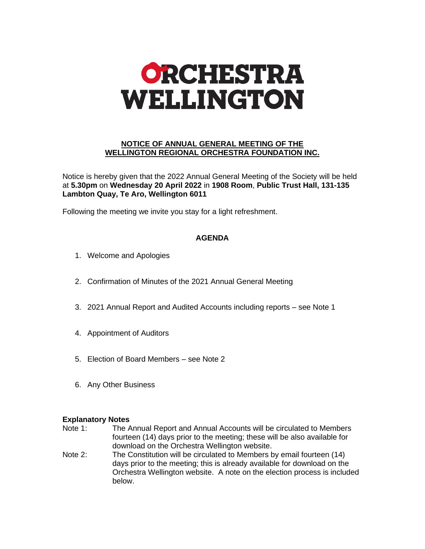

## **NOTICE OF ANNUAL GENERAL MEETING OF THE WELLINGTON REGIONAL ORCHESTRA FOUNDATION INC.**

Notice is hereby given that the 2022 Annual General Meeting of the Society will be held at **5.30pm** on **Wednesday 20 April 2022** in **1908 Room**, **Public Trust Hall, 131-135 Lambton Quay, Te Aro, Wellington 6011**

Following the meeting we invite you stay for a light refreshment.

# **AGENDA**

- 1. Welcome and Apologies
- 2. Confirmation of Minutes of the 2021 Annual General Meeting
- 3. 2021 Annual Report and Audited Accounts including reports see Note 1
- 4. Appointment of Auditors
- 5. Election of Board Members see Note 2
- 6. Any Other Business

## **Explanatory Notes**

- Note 1: The Annual Report and Annual Accounts will be circulated to Members fourteen (14) days prior to the meeting; these will be also available for download on the Orchestra Wellington website.
- Note 2: The Constitution will be circulated to Members by email fourteen (14) days prior to the meeting; this is already available for download on the Orchestra Wellington website. A note on the election process is included below.